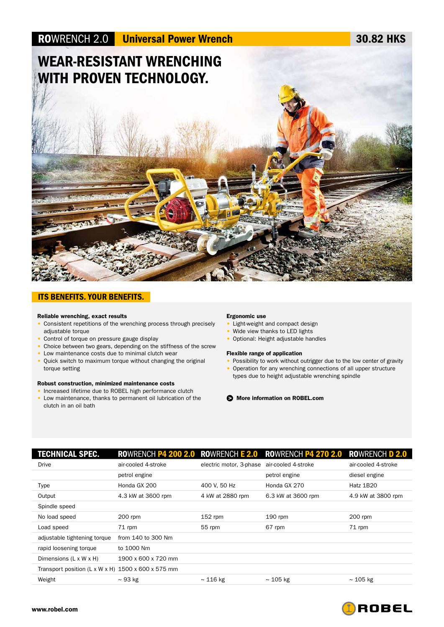

## ITS BENEFITS. YOUR BENEFITS.

## Reliable wrenching, exact results

- Consistent repetitions of the wrenching process through precisely adjustable torque
- Control of torque on pressure gauge display
- Choice between two gears, depending on the stiffness of the screw
- Low maintenance costs due to minimal clutch wear
- Quick switch to maximum torque without changing the original torque setting

### Robust construction, minimized maintenance costs

- Increased lifetime due to ROBEL high performance clutch
- Low maintenance, thanks to permanent oil lubrication of the clutch in an oil bath

## Ergonomic use

- Light-weight and compact design
- Wide view thanks to LED lights
- Optional: Height adjustable handles

## Flexible range of application

- Possibility to work without outrigger due to the low center of gravity • Operation for any wrenching connections of all upper structure
- types due to height adjustable wrenching spindle

More information on ROBEL.com >

| TECHNICAL SPEC.                                      |                     |                         | ROWRENCH P4 200 2.0 ROWRENCH E 2.0 ROWRENCH P4 270 2.0 | ROWRENCH D 2.0      |
|------------------------------------------------------|---------------------|-------------------------|--------------------------------------------------------|---------------------|
| <b>Drive</b>                                         | air-cooled 4-stroke | electric motor, 3-phase | air-cooled 4-stroke                                    | air-cooled 4-stroke |
|                                                      | petrol engine       |                         | petrol engine                                          | diesel engine       |
| Type                                                 | Honda GX 200        | 400 V. 50 Hz            | Honda GX 270                                           | Hatz 1B20           |
| Output                                               | 4.3 kW at 3600 rpm  | 4 kW at 2880 rpm        | 6.3 kW at 3600 rpm                                     | 4.9 kW at 3800 rpm  |
| Spindle speed                                        |                     |                         |                                                        |                     |
| No load speed                                        | 200 rpm             | $152$ rpm               | $190$ rpm                                              | 200 rpm             |
| Load speed                                           | 71 rpm              | 55 rpm                  | 67 rpm                                                 | 71 rpm              |
| adjustable tightening torque                         | from 140 to 300 Nm  |                         |                                                        |                     |
| rapid loosening torque                               | to 1000 Nm          |                         |                                                        |                     |
| Dimensions (L x W x H)                               | 1900 x 600 x 720 mm |                         |                                                        |                     |
| Transport position (L x W x H) $1500$ x 600 x 575 mm |                     |                         |                                                        |                     |
| Weight                                               | $\sim$ 93 kg        | $\sim$ 116 kg           | $\sim$ 105 kg                                          | $\sim$ 105 kg       |
|                                                      |                     |                         |                                                        |                     |